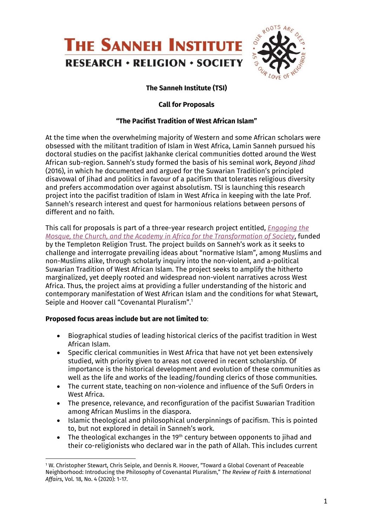

# **The Sanneh Institute (TSI)**

#### **Call for Proposals**

#### **"The Pacifist Tradition of West African Islam"**

At the time when the overwhelming majority of Western and some African scholars were obsessed with the militant tradition of Islam in West Africa, Lamin Sanneh pursued his doctoral studies on the pacifist Jakhanke clerical communities dotted around the West African sub-region. Sanneh's study formed the basis of his seminal work, *Beyond Jihad*  (2016), in which he documented and argued for the Suwarian Tradition's principled disavowal of Jihad and politics in favour of a pacifism that tolerates religious diversity and prefers accommodation over against absolutism. TSI is launching this research project into the pacifist tradition of Islam in West Africa in keeping with the late Prof. Sanneh's research interest and quest for harmonious relations between persons of different and no faith.

This call for proposals is part of a three-year research project entitled, *Engaging the Mosque, the Church, and the Academy in Africa for the Transformation of Society*, funded by the Templeton Religion Trust. The project builds on Sanneh's work as it seeks to challenge and interrogate prevailing ideas about "normative Islam", among Muslims and non-Muslims alike, through scholarly inquiry into the non-violent, and a-political Suwarian Tradition of West African Islam. The project seeks to amplify the hitherto marginalized, yet deeply rooted and widespread non-violent narratives across West Africa. Thus, the project aims at providing a fuller understanding of the historic and contemporary manifestation of West African Islam and the conditions for what Stewart, Seiple and Hoover call "Covenantal Pluralism". 1

#### **Proposed focus areas include but are not limited to**:

- Biographical studies of leading historical clerics of the pacifist tradition in West African Islam.
- Specific clerical communities in West Africa that have not yet been extensively studied, with priority given to areas not covered in recent scholarship. Of importance is the historical development and evolution of these communities as well as the life and works of the leading/founding clerics of those communities.
- The current state, teaching on non-violence and influence of the Sufi Orders in West Africa.
- The presence, relevance, and reconfiguration of the pacifist Suwarian Tradition among African Muslims in the diaspora.
- Islamic theological and philosophical underpinnings of pacifism. This is pointed to, but not explored in detail in Sanneh's work.
- The theological exchanges in the 19<sup>th</sup> century between opponents to jihad and their co-religionists who declared war in the path of Allah. This includes current

<sup>1</sup> W. Christopher Stewart, Chris Seiple, and Dennis R. Hoover, "Toward a Global Covenant of Peaceable Neighborhood: Introducing the Philosophy of Covenantal Pluralism," *The Review of Faith & International Affairs*, Vol. 18, No. 4 (2020): 1-17.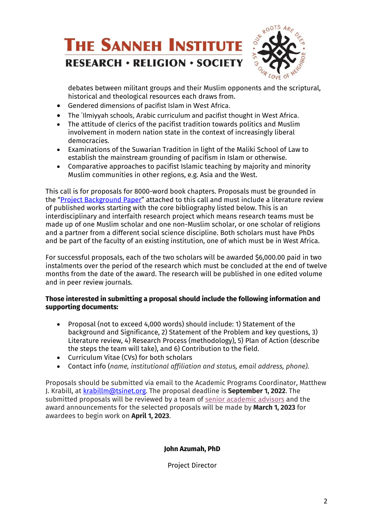

debates between militant groups and their Muslim opponents and the scriptural, historical and theological resources each draws from.

- Gendered dimensions of pacifist Islam in West Africa.
- The `Ilmiyyah schools, Arabic curriculum and pacifist thought in West Africa.
- The attitude of clerics of the pacifist tradition towards politics and Muslim involvement in modern nation state in the context of increasingly liberal democracies.
- Examinations of the Suwarian Tradition in light of the Maliki School of Law to establish the mainstream grounding of pacifism in Islam or otherwise.
- Comparative approaches to pacifist Islamic teaching by majority and minority Muslim communities in other regions, e.g. Asia and the West.

This call is for proposals for 8000-word book chapters. Proposals must be grounded in the "Project Background Paper" attached to this call and must include a literature review of published works starting with the core bibliography listed below. This is an interdisciplinary and interfaith research project which means research teams must be made up of one Muslim scholar and one non-Muslim scholar, or one scholar of religions and a partner from a different social science discipline. Both scholars must have PhDs and be part of the faculty of an existing institution, one of which must be in West Africa.

For successful proposals, each of the two scholars will be awarded \$6,000.00 paid in two instalments over the period of the research which must be concluded at the end of twelve months from the date of the award. The research will be published in one edited volume and in peer review journals.

### **Those interested in submitting a proposal should include the following information and supporting documents:**

- Proposal (not to exceed 4,000 words) should include: 1) Statement of the background and Significance, 2) Statement of the Problem and key questions, 3) Literature review, 4) Research Process (methodology), 5) Plan of Action (describe the steps the team will take), and 6) Contribution to the field.
- Curriculum Vitae (CVs) for both scholars
- Contact info (*name, institutional affiliation and status, email address, phone).*

Proposals should be submitted via email to the Academic Programs Coordinator, Matthew J. Krabill, at krabillm@tsinet.org. The proposal deadline is **September 1, 2022**. The submitted proposals will be reviewed by a team of senior academic advisors and the award announcements for the selected proposals will be made by **March 1, 2023** for awardees to begin work on **April 1, 2023**.

### **John Azumah, PhD**

Project Director